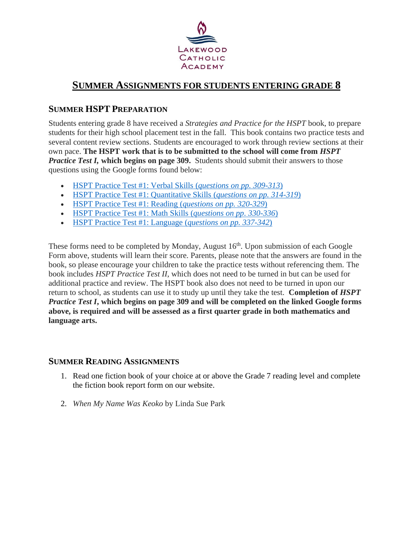

## **SUMMER ASSIGNMENTS FOR STUDENTS ENTERING GRADE 8**

## **SUMMER HSPT PREPARATION**

Students entering grade 8 have received a *Strategies and Practice for the HSPT* book, to prepare students for their high school placement test in the fall. This book contains two practice tests and several content review sections. Students are encouraged to work through review sections at their own pace. **The HSPT work that is to be submitted to the school will come from** *HSPT Practice Test I,* **which begins on page 309.** Students should submit their answers to those questions using the Google forms found below:

- [HSPT Practice Test #1: Verbal Skills](https://docs.google.com/forms/d/e/1FAIpQLSfhvRmzgfbFeAlpixxt_FeOs1pTCAJpsokAslTrUcq6cf03-Q/viewform?usp=sf_link) (*questions on pp. 309-313*)
- [HSPT Practice Test #1: Quantitative Skills](https://docs.google.com/forms/d/e/1FAIpQLScEvTOO7k-QsT8qbJHzfCEiO4iHNbqF9zYUj3b5bl4iAm6hnA/viewform?usp=sf_link) (*questions on pp. 314-319*)
- [HSPT Practice Test #1: Reading](https://docs.google.com/forms/d/e/1FAIpQLSfWOKanUPg5BBxbCbpIm0sPI3CF5FbcpR7w-acfNbEx1GeR2w/viewform?usp=sf_link) (*questions on pp. 320-329*)
- [HSPT Practice Test #1: Math Skills](https://docs.google.com/forms/d/e/1FAIpQLSeOHa8siQIbDRV9lgBgOd5qaZuVQahEvMg-7Zg0fH_kujDxTQ/viewform?usp=sf_link) (*questions on pp. 330-336*)
- [HSPT Practice Test #1: Language](https://docs.google.com/forms/d/e/1FAIpQLSdjnO2Ktsvtxol7aRpqJNWYtJX6SXdPglb2WkQ3Co45glowwQ/viewform?usp=sf_link) (*questions on pp. 337-342*)

These forms need to be completed by Monday, August 16<sup>th</sup>. Upon submission of each Google Form above, students will learn their score. Parents, please note that the answers are found in the book, so please encourage your children to take the practice tests without referencing them. The book includes *HSPT Practice Test II*, which does not need to be turned in but can be used for additional practice and review. The HSPT book also does not need to be turned in upon our return to school, as students can use it to study up until they take the test. **Completion of** *HSPT Practice Test I***, which begins on page 309 and will be completed on the linked Google forms above, is required and will be assessed as a first quarter grade in both mathematics and language arts.**

## **SUMMER READING ASSIGNMENTS**

- 1. Read one fiction book of your choice at or above the Grade 7 reading level and complete the fiction book report form on our website.
- 2. *When My Name Was Keoko* by Linda Sue Park